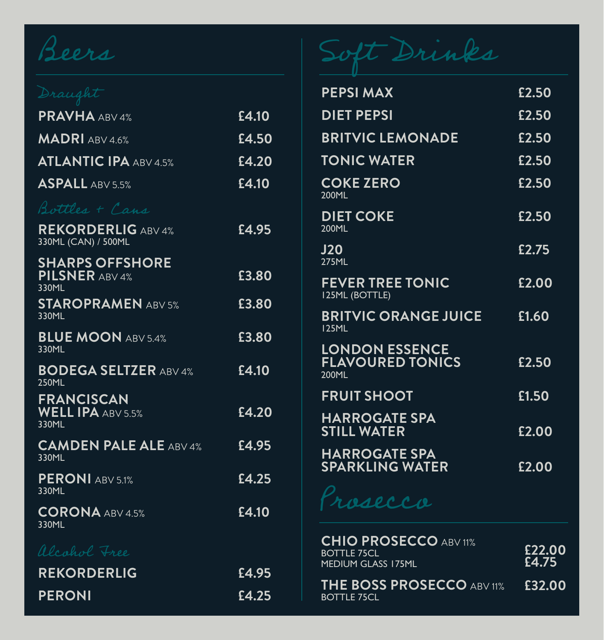| <b>PRAVHA ABV 4%</b>                                     | £4.10 |
|----------------------------------------------------------|-------|
| <b>MADRI</b> ABV 4.6%                                    | £4.50 |
| <b>ATLANTIC IPA ABV 4.5%</b>                             | £4.20 |
| <b>ASPALL ABV 5.5%</b>                                   | £4.10 |
| Bottles + Cans                                           |       |
| <b>REKORDERLIG ABV 4%</b><br>330ML (CAN) / 500ML         | £4.95 |
| <b>SHARPS OFFSHORE</b><br><b>PILSNER ABV 4%</b><br>330ML | £3.80 |
| <b>STAROPRAMEN ABV 5%</b><br>330ML                       | £3.80 |
| <b>BLUE MOON ABV 5.4%</b><br>330ML                       | £3.80 |
| <b>BODEGA SELTZER ABV 4%</b><br><b>250ML</b>             | £4.10 |
| <b>FRANCISCAN</b><br><b>WELL IPA ABV 5.5%</b><br>330ML   | £4.20 |
| <b>CAMDEN PALE ALE ABV 4%</b><br>330ML                   | £4.95 |
| <b>PERONI ABV 5.1%</b><br>330ML                          | £4.25 |
| <b>CORONA ABV 4.5%</b><br>330ML                          | £4.10 |
| alcohol Free                                             |       |
| <b>REKORDERLIG</b>                                       | £4.95 |
| <b>PERONI</b>                                            | £4.25 |

# Beers Soft Drinks

| <b>PEPSI MAX</b>                                          | £2.50 |
|-----------------------------------------------------------|-------|
| <b>DIET PEPSI</b>                                         | £2.50 |
| <b>BRITVIC LEMONADE</b>                                   | £2.50 |
| <b>TONIC WATER</b>                                        | £2.50 |
| <b>COKE ZERO</b><br>200ML                                 | £2.50 |
| <b>DIET COKE</b><br>200ML                                 | £2.50 |
| <b>J20</b><br><b>275ML</b>                                | £2.75 |
| <b>FEVER TREE TONIC</b><br><b>I25ML (BOTTLE)</b>          | £2.00 |
| <b>BRITVIC ORANGE JUICE</b><br><b>125ML</b>               | £1.60 |
| <b>LONDON ESSENCE</b><br><b>FLAVOURED TONICS</b><br>200ML | £2.50 |
| <b>FRUIT SHOOT</b>                                        | £1.50 |
| <b>HARROGATE SPA</b><br><b>STILL WATER</b>                | £2.00 |
| <b>HARROGATE SPA</b><br><b>SPARKLING WATER</b>            | £2.00 |
|                                                           |       |

rosecco

| alcohol Free<br><b>REKORDERLIG</b> |       | <b>CHIO PROSECCO ABV 11%</b><br><b>BOTTLE 75CL</b><br><b>MEDIUM GLASS 175ML</b> | £22.00<br>£4.75 |
|------------------------------------|-------|---------------------------------------------------------------------------------|-----------------|
|                                    | £4.95 | <b>THE BOSS PROSECCO ABV 11%</b>                                                | <b>F32.00</b>   |
| <b>PERONI</b>                      | £4.25 | <b>BOTTLE 75CL</b>                                                              |                 |